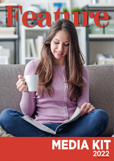

# MEDIA KIT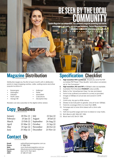## Feature Magazine is an independent, free community magazine promoting local stories, BE SEEN BY THE LOCAL

 $\bullet$ 

entertainment and events, real estate and businesses. Feature Magazine provides affordable, customisable advertising in the local area.

 $\blacksquare$ 

#### Magazine Distribution

Distribution begins by the first of each month with in distribution points in major shopping centres, cafés, waiting rooms and other popular locations in:

**Burpengary** • Narangba

> • North Lakes • Mango Hill

- 
- Dakabin
- Kallangur **Petrie**
- **Moravfield**
- **Caboolture**
- Deception Bay

Readers can also subscribe to the digital online version.

## Copy Deadlines

| January  | 20 Dec 21   July |           | 22 Jun 22 |
|----------|------------------|-----------|-----------|
| February | 25 Jan 22        | August    | 20 Jul 22 |
| March    | 23 Feb 22        | September | 24 Aug 22 |
| April    | 23 Mar 22        | October   | 21 Sep 22 |
| May      | 19 Apr 22        | November  | 26 Oct 22 |
| June     | 25 May 22        | December  | 23 Nov 22 |

## Contact Us

**Email:** editor@featuremagazine.com.au **Phone:** 07 3886 9040<br> **Web:** www.feature **Web:** www.featuremagazine.com.au **Facebook:** @featurecommunitymagazine **Open:** Mon to Fri, 9am-5pm **ABN:** 47 438 219 632

## Specification Checklist

- **High resolution PDF is preferred.** Ensure you save the PDF as Adobe PDF Preset 'Press Quality' and colour conversion set at 'No Conversion'.
- **2. High resolution JPG and TIFF** at 300dpi is also acceptable.
- 3. Australian Print Standard **FOGRA39** colour profile.
- 4. Refer to the 'Advertisement Sizes' for size and bleed.
- 5. Fonts to be outlined (converted to curves) or provided.
- 6. Images at 300dpi at actual size and saved in CMYK format.
- 7. CMYK only. No spot or RGB colours.
- 8. Strokes to be 0.25 point or greater. Line art to be 1200dpi.
- 9. Total ink coverage (TAC) no more than 280%.
- 10. Full page ads to have 5mm bleed with a 5mm safe margin.
- 11. Half and quarter page ads have no bleed or crop marks.
- 12. Rich Black is 60C 50M 50Y 100K.
- 13. Black text is 0C 0M 0Y 100K.

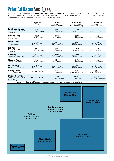#### Print Ad RatesAnd Sizes

**The below rates are per edition and based on Run of Press (ROP) ad placement.** Any specific ad placement requests may incur a 10% ad placement surcharge. Ad packs may be paid month-to-month or upfront\*. All advertising bookings are subject to our terms and conditions. Feature Magazine is released on the 1st of every month.

|                                                                      | <b>Single Ad</b><br>Per edition<br><b>Invoiced Monthly</b> | 3 Ad Pack<br>Per edition<br><b>Invoiced Monthly</b> | 6 Ad Pack<br>Per edition<br><b>Invoiced Monthly</b> | 12 Ad Pack<br>Per edition<br><b>Invoiced Monthly</b> |
|----------------------------------------------------------------------|------------------------------------------------------------|-----------------------------------------------------|-----------------------------------------------------|------------------------------------------------------|
| <b>Two Page Spread</b><br>2 x Portrait 210 x 297mm<br>+ 5mm bleed    | \$769<br>+ GST, per edition                                | $$732$ + GST, Per edition                           | \$697<br>+ GST. Per edition                         | \$663<br>+ GST. Per edition                          |
| <b>Inside Cover</b><br>Portrait 210 x 297mm<br>+ 5mm bleed           | $$769$ + GST, Per edition                                  | $$732$ + GST, Per edition                           | $$697+ GST, Per edition$                            | $$663$ + GST, Per edition                            |
| <b>Back Cover</b><br>Portrait 210 x 297mm<br>+ 5mm bleed             | $$769$ + GST, Per edition                                  | $$732$ + GST, Per edition                           | $$697$ + GST, Per edition                           | $$663$ + GST, Per edition                            |
| <b>Full Page</b><br>Portrait $210 \times 297$ mm<br>+ 5mm bleed      | $$514$ + GST, Per edition                                  | $$489$ + GST, Per edition                           | $$465$ + GST, Per edition                           | $$442$ + GST, Per edition                            |
| <b>Half Page</b><br>Landscape 184 x 133mm                            | $$330$ + GST, Per edition                                  | $$314$ + GST, Per edition                           | $$299$<br>+ GST, Per edition                        | $$284$ + GST, Per edition                            |
| <b>Quarter Page</b><br>Portrait 90 x 133mm                           | $$194$ + GST, Per edition                                  | $$184$ + GST, Per edition                           | $$175$ + GST, Per edition                           | $$166$ + GST, Per edition                            |
| Eighth Page<br>Landscape 90 x 64mm                                   | $$98$<br>+ GST, Per edition                                | $$93$ + GST, Per edition                            | $$88$<br>+ GST, Per edition                         | $$83$ + GST, Per edition                             |
| <b>Dining Guide</b><br>Landscape 90 x 88mm                           | Not Available                                              | $$80 + GST, Per edition$                            | $$70$ + GST, Per edition                            | $$60$ + GST, Per edition                             |
| <b>Trades &amp; Services</b><br>Landscape 60 x 30mm<br>(Full Colour) | Not Available                                              | $$120*$<br>+ GST. Three editions                    | $$210*$<br>+ GST, Six editions                      | $$360*$<br>+ GST. Twelve editions                    |

\*Upfront payment is required for all Trades & Services ad packs. Monthly payments are not available.